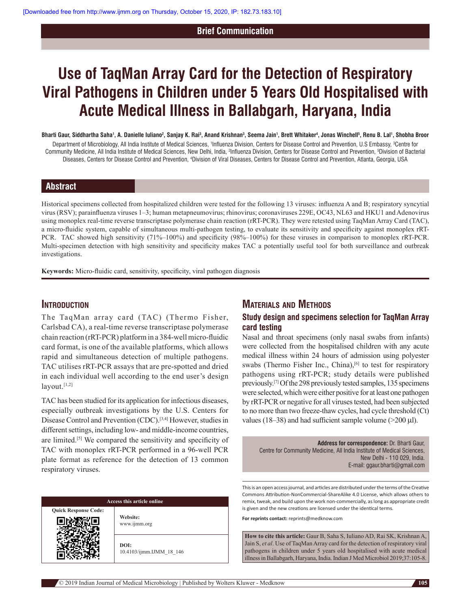### **Brief Communication**

# **Use of TaqMan Array Card for the Detection of Respiratory Viral Pathogens in Children under 5 Years Old Hospitalised with Acute Medical Illness in Ballabgarh, Haryana, India**

Bharti Gaur, Siddhartha Saha', A. Danielle Iuliano<sup>2</sup>, Sanjay K. Rai<sup>3</sup>, Anand Krishnan<sup>3</sup>, Seema Jain', Brett Whitaker<sup>4</sup>, Jonas Winchell<sup>s</sup>, Renu B. Lal', Shobha Broor

Department of Microbiology, All India Institute of Medical Sciences, <sup>1</sup>Influenza Division, Centers for Disease Control and Prevention, U.S Embassy, <sup>3</sup>Centre for Community Medicine, All India Institute of Medical Sciences, New Delhi, India, <sup>2</sup>Influenza Division, Centers for Disease Control and Prevention, <sup>s</sup>Division of Bacterial Diseases, Centers for Disease Control and Prevention, 4Division of Viral Diseases, Centers for Disease Control and Prevention, Atlanta, Georgia, USA

# **Abstract**

Historical specimens collected from hospitalized children were tested for the following 13 viruses: influenza A and B; respiratory syncytial virus (RSV); parainfluenza viruses 1–3; human metapneumovirus; rhinovirus; coronaviruses 229E, OC43, NL63 and HKU1 and Adenovirus using monoplex real-time reverse transcriptase polymerase chain reaction (rRT-PCR). They were retested using TaqMan Array Card (TAC), a micro-fluidic system, capable of simultaneous multi-pathogen testing, to evaluate its sensitivity and specificity against monoplex rRT-PCR. TAC showed high sensitivity (71%–100%) and specificity (98%–100%) for these viruses in comparison to monoplex rRT-PCR. Multi-specimen detection with high sensitivity and specificity makes TAC a potentially useful tool for both surveillance and outbreak investigations.

**Keywords:** Micro-fluidic card, sensitivity, specificity, viral pathogen diagnosis

## **introduction**

The TaqMan array card (TAC) (Thermo Fisher, Carlsbad CA), a real-time reverse transcriptase polymerase chain reaction (rRT-PCR) platform in a 384-well micro-fluidic card format, is one of the available platforms, which allows rapid and simultaneous detection of multiple pathogens. TAC utilises rRT-PCR assays that are pre-spotted and dried in each individual well according to the end user's design  $l$ ayout. $[1,2]$ 

TAC has been studied for its application for infectious diseases, especially outbreak investigations by the U.S. Centers for Disease Control and Prevention (CDC).[3,4] However, studies in different settings, including low- and middle-income countries, are limited.[5] We compared the sensitivity and specificity of TAC with monoplex rRT-PCR performed in a 96-well PCR plate format as reference for the detection of 13 common respiratory viruses.

| Access this article online  |                                  |  |
|-----------------------------|----------------------------------|--|
| <b>Quick Response Code:</b> | Website:<br>www.ijmm.org         |  |
|                             | DOI:<br>10.4103/ijmm.IJMM 18 146 |  |

# **MATERIALS AND METHODS**

## **Study design and specimens selection for TaqMan Array card testing**

Nasal and throat specimens (only nasal swabs from infants) were collected from the hospitalised children with any acute medical illness within 24 hours of admission using polyester swabs (Thermo Fisher Inc., China),<sup>[6]</sup> to test for respiratory pathogens using rRT-PCR; study details were published previously.[7] Of the 298 previously tested samples, 135 specimens were selected, which were either positive for at least one pathogen by rRT-PCR or negative for all viruses tested, had been subjected to no more than two freeze-thaw cycles, had cycle threshold (Ct) values (18–38) and had sufficient sample volume ( $>200 \mu$ l).

**Address for correspondence:** Dr. Bharti Gaur, Centre for Community Medicine, All India Institute of Medical Sciences, New Delhi ‑ 110 029, India. E‑mail: ggaur.bharti@gmail.com

This is an open access journal, and articles are distributed under the terms of the Creative Commons Attribution‑NonCommercial‑ShareAlike 4.0 License, which allows others to remix, tweak, and build upon the work non‑commercially, as long as appropriate credit is given and the new creations are licensed under the identical terms.

**For reprints contact:** reprints@medknow.com

**How to cite this article:** Gaur B, Saha S, Iuliano AD, Rai SK, Krishnan A, Jain S, *et al*. Use of TaqMan Array card for the detection of respiratory viral pathogens in children under 5 years old hospitalised with acute medical illness in Ballabgarh, Haryana, India. Indian J Med Microbiol 2019;37:105-8.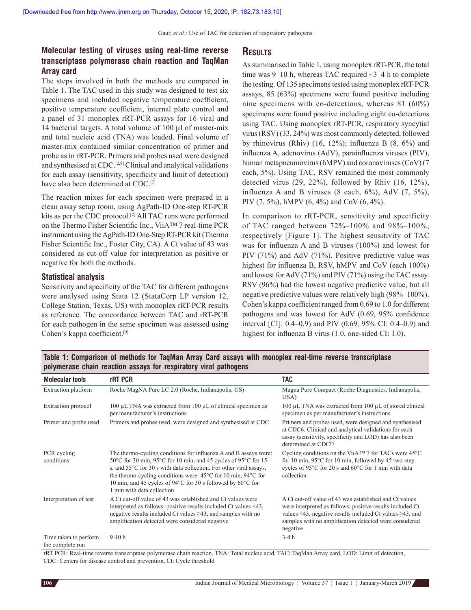Gaur, *et al*.: Use of TAC for detection of respiratory pathogens

## **Molecular testing of viruses using real‑time reverse transcriptase polymerase chain reaction and TaqMan Array card**

The steps involved in both the methods are compared in Table 1. The TAC used in this study was designed to test six specimens and included negative temperature coefficient, positive temperature coefficient, internal plate control and a panel of 31 monoplex rRT-PCR assays for 16 viral and 14 bacterial targets. A total volume of 100 μl of master-mix and total nucleic acid (TNA) was loaded. Final volume of master-mix contained similar concentration of primer and probe as in rRT-PCR. Primers and probes used were designed and synthesised at CDC.<sup>[2,8]</sup> Clinical and analytical validations for each assay (sensitivity, specificity and limit of detection) have also been determined at CDC.<sup>[2]</sup>

The reaction mixes for each specimen were prepared in a clean assay setup room, using AgPath-ID One-step RT-PCR kits as per the CDC protocol.<sup>[2]</sup> All TAC runs were performed on the Thermo Fisher Scientific Inc., ViiA™ 7 real-time PCR instrument using the AgPath-ID One-Step RT-PCR kit (Thermo Fisher Scientific Inc., Foster City, CA). A Ct value of 43 was considered as cut-off value for interpretation as positive or negative for both the methods.

#### **Statistical analysis**

Sensitivity and specificity of the TAC for different pathogens were analysed using Stata 12 (StataCorp LP version 12, College Station, Texas, US) with monoplex rRT-PCR results as reference. The concordance between TAC and rRT-PCR for each pathogen in the same specimen was assessed using Cohen's kappa coefficient.[9]

## **results**

As summarised in Table 1, using monoplex rRT-PCR, the total time was  $9-10$  h, whereas TAC required  $\sim$ 3–4 h to complete the testing. Of 135 specimens tested using monoplex rRT-PCR assays, 85 (63%) specimens were found positive including nine specimens with co-detections, whereas 81 (60%) specimens were found positive including eight co-detections using TAC. Using monoplex rRT-PCR, respiratory syncytial virus (RSV) (33, 24%) was most commonly detected, followed by rhinovirus (Rhiv)  $(16, 12\%)$ ; influenza B  $(8, 6\%)$  and influenza A, adenovirus (AdV), parainfluenza viruses (PIV), human metapneumovirus (hMPV) and coronaviruses (CoV) (7 each, 5%). Using TAC, RSV remained the most commonly detected virus (29, 22%), followed by Rhiv (16, 12%), influenza A and B viruses  $(8 \text{ each}, 6\%)$ , AdV  $(7, 5\%)$ , PIV (7, 5%), hMPV (6, 4%) and CoV (6, 4%).

In comparison to rRT-PCR, sensitivity and specificity of TAC ranged between 72%–100% and 98%–100%, respectively [Figure 1]. The highest sensitivity of TAC was for influenza A and B viruses (100%) and lowest for PIV (71%) and AdV (71%). Positive predictive value was highest for influenza B, RSV, hMPV and CoV (each 100%) and lowest for AdV (71%) and PIV (71%) using the TAC assay. RSV (96%) had the lowest negative predictive value, but all negative predictive values were relatively high (98%–100%). Cohen's kappa coefficient ranged from 0.69 to 1.0 for different pathogens and was lowest for AdV (0.69, 95% confidence interval [CI]: 0.4–0.9) and PIV (0.69, 95% CI: 0.4–0.9) and highest for influenza B virus (1.0, one-sided CI: 1.0).

| Table 1: Comparison of methods for TaqMan Array Card assays with monoplex real-time reverse transcriptase |  |  |
|-----------------------------------------------------------------------------------------------------------|--|--|
| polymerase chain reaction assays for respiratory viral pathogens                                          |  |  |
|                                                                                                           |  |  |

| <b>Molecular tools</b>                    | rRT PCR                                                                                                                                                                                                                                                                                                                                                                                                         | <b>TAC</b>                                                                                                                                                                                                                                                  |
|-------------------------------------------|-----------------------------------------------------------------------------------------------------------------------------------------------------------------------------------------------------------------------------------------------------------------------------------------------------------------------------------------------------------------------------------------------------------------|-------------------------------------------------------------------------------------------------------------------------------------------------------------------------------------------------------------------------------------------------------------|
| Extraction platform                       | Roche MagNA Pure LC 2.0 (Roche, Indianapolis, US)                                                                                                                                                                                                                                                                                                                                                               | Magna Pure Compact (Roche Diagnostics, Indianapolis,<br>USA)                                                                                                                                                                                                |
| Extraction protocol                       | 100 $\mu$ L TNA was extracted from 100 $\mu$ L of clinical specimen as<br>per manufacturer's instructions                                                                                                                                                                                                                                                                                                       | 100 μL TNA was extracted from 100 μL of stored clinical<br>specimen as per manufacturer's instructions                                                                                                                                                      |
| Primer and probe used                     | Primers and probes used, were designed and synthesised at CDC                                                                                                                                                                                                                                                                                                                                                   | Primers and probes used, were designed and synthesised<br>at CDC6. Clinical and analytical validations for each<br>assay (sensitivity, specificity and LOD) has also been<br>determined at CDC <sup>[2]</sup>                                               |
| PCR cycling<br>conditions                 | The thermo-cycling conditions for influenza A and B assays were:<br>50°C for 30 min, 95°C for 10 min, and 45 cycles of 95°C for 15<br>s, and 55°C for 30 s with data collection. For other viral assays,<br>the thermo-cycling conditions were: $45^{\circ}$ C for 10 min, 94 $^{\circ}$ C for<br>10 min, and 45 cycles of 94 $\degree$ C for 30 s followed by 60 $\degree$ C for<br>1 min with data collection | Cycling conditions on the ViiA <sup>TM</sup> 7 for TACs were $45^{\circ}$ C<br>for 10 min, $95^{\circ}$ C for 10 min, followed by 45 two-step<br>cycles of 95°C for 20 s and 60°C for 1 min with data<br>collection                                         |
| Interpretation of test                    | A Ct cut-off value of 43 was established and Ct values were<br>interpreted as follows: positive results included Ct values <43,<br>negative results included Ct values $\geq$ 43, and samples with no<br>amplification detected were considered negative                                                                                                                                                        | A Ct cut-off value of 43 was established and Ct values<br>were interpreted as follows: positive results included Ct<br>values <43, negative results included Ct values $\geq$ 43, and<br>samples with no amplification detected were considered<br>negative |
| Time taken to perform<br>the complete run | $9-10h$                                                                                                                                                                                                                                                                                                                                                                                                         | $3-4h$                                                                                                                                                                                                                                                      |

rRT PCR: Real-time reverse transcriptase polymerase chain reaction, TNA: Total nucleic acid, TAC: TaqMan Array card, LOD: Limit of detection, CDC: Centers for disease control and prevention, Ct: Cycle threshold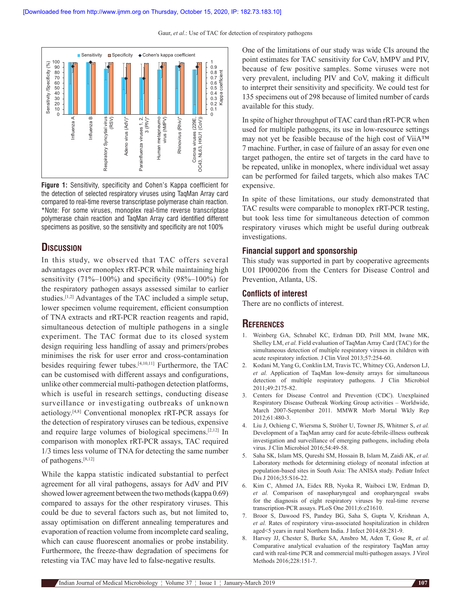Gaur, *et al*.: Use of TAC for detection of respiratory pathogens



**Figure 1:** Sensitivity, specificity and Cohen's Kappa coefficient for the detection of selected respiratory viruses using TaqMan Array card compared to real‑time reverse transcriptase polymerase chain reaction. \*Note: For some viruses, monoplex real‑time reverse transcriptase polymerase chain reaction and TaqMan Array card identified different specimens as positive, so the sensitivity and specificity are not 100%

# **discussion**

In this study, we observed that TAC offers several advantages over monoplex rRT-PCR while maintaining high sensitivity (71%–100%) and specificity (98%–100%) for the respiratory pathogen assays assessed similar to earlier studies.[1,2] Advantages of the TAC included a simple setup, lower specimen volume requirement, efficient consumption of TNA extracts and rRT-PCR reaction reagents and rapid, simultaneous detection of multiple pathogens in a single experiment. The TAC format due to its closed system design requiring less handling of assay and primers/probes minimises the risk for user error and cross-contamination besides requiring fewer tubes.[4,10,11] Furthermore, the TAC can be customised with different assays and configurations, unlike other commercial multi-pathogen detection platforms, which is useful in research settings, conducting disease surveillance or investigating outbreaks of unknown aetiology.[4,8] Conventional monoplex rRT-PCR assays for the detection of respiratory viruses can be tedious, expensive and require large volumes of biological specimens.[2,12] In comparison with monoplex rRT-PCR assays, TAC required 1/3 times less volume of TNA for detecting the same number of pathogens.[8,12]

While the kappa statistic indicated substantial to perfect agreement for all viral pathogens, assays for AdV and PIV showed lower agreement between the two methods (kappa 0.69) compared to assays for the other respiratory viruses. This could be due to several factors such as, but not limited to, assay optimisation on different annealing temperatures and evaporation of reaction volume from incomplete card sealing, which can cause fluorescent anomalies or probe instability. Furthermore, the freeze-thaw degradation of specimens for retesting via TAC may have led to false-negative results.

One of the limitations of our study was wide CIs around the point estimates for TAC sensitivity for CoV, hMPV and PIV, because of few positive samples. Some viruses were not very prevalent, including PIV and CoV, making it difficult to interpret their sensitivity and specificity. We could test for 135 specimens out of 298 because of limited number of cards available for this study.

In spite of higher throughput of TAC card than rRT-PCR when used for multiple pathogens, its use in low-resource settings may not yet be feasible because of the high cost of ViiA™ 7 machine. Further, in case of failure of an assay for even one target pathogen, the entire set of targets in the card have to be repeated, unlike in monoplex, where individual wet assay can be performed for failed targets, which also makes TAC expensive.

In spite of these limitations, our study demonstrated that TAC results were comparable to monoplex rRT-PCR testing, but took less time for simultaneous detection of common respiratory viruses which might be useful during outbreak investigations.

#### **Financial support and sponsorship**

This study was supported in part by cooperative agreements U01 IP000206 from the Centers for Disease Control and Prevention, Atlanta, US.

#### **Conflicts of interest**

There are no conflicts of interest.

# **references**

- 1. Weinberg GA, Schnabel KC, Erdman DD, Prill MM, Iwane MK, Shelley LM, *et al.* Field evaluation of TaqMan Array Card (TAC) for the simultaneous detection of multiple respiratory viruses in children with acute respiratory infection. J Clin Virol 2013;57:254-60.
- 2. Kodani M, Yang G, Conklin LM, Travis TC, Whitney CG, Anderson LJ, *et al.* Application of TaqMan low-density arrays for simultaneous detection of multiple respiratory pathogens. J Clin Microbiol 2011;49:2175-82.
- 3. Centers for Disease Control and Prevention (CDC). Unexplained Respiratory Disease Outbreak Working Group activities – Worldwide, March 2007-September 2011. MMWR Morb Mortal Wkly Rep 2012;61:480-3.
- 4. Liu J, Ochieng C, Wiersma S, Ströher U, Towner JS, Whitmer S, *et al.* Development of a TaqMan array card for acute-febrile-illness outbreak investigation and surveillance of emerging pathogens, including ebola virus. J Clin Microbiol 2016;54:49-58.
- 5. Saha SK, Islam MS, Qureshi SM, Hossain B, Islam M, Zaidi AK, *et al.* Laboratory methods for determining etiology of neonatal infection at population-based sites in South Asia: The ANISA study. Pediatr Infect Dis J 2016;35:S16-22.
- 6. Kim C, Ahmed JA, Eidex RB, Nyoka R, Waiboci LW, Erdman D, *et al.* Comparison of nasopharyngeal and oropharyngeal swabs for the diagnosis of eight respiratory viruses by real-time reverse transcription-PCR assays. PLoS One 2011;6:e21610.
- 7. Broor S, Dawood FS, Pandey BG, Saha S, Gupta V, Krishnan A, *et al.* Rates of respiratory virus-associated hospitalization in children aged<5 years in rural Northern India. J Infect 2014;68:281-9.
- 8. Harvey JJ, Chester S, Burke SA, Ansbro M, Aden T, Gose R, *et al.* Comparative analytical evaluation of the respiratory TaqMan array card with real-time PCR and commercial multi-pathogen assays. J Virol Methods 2016;228:151-7.